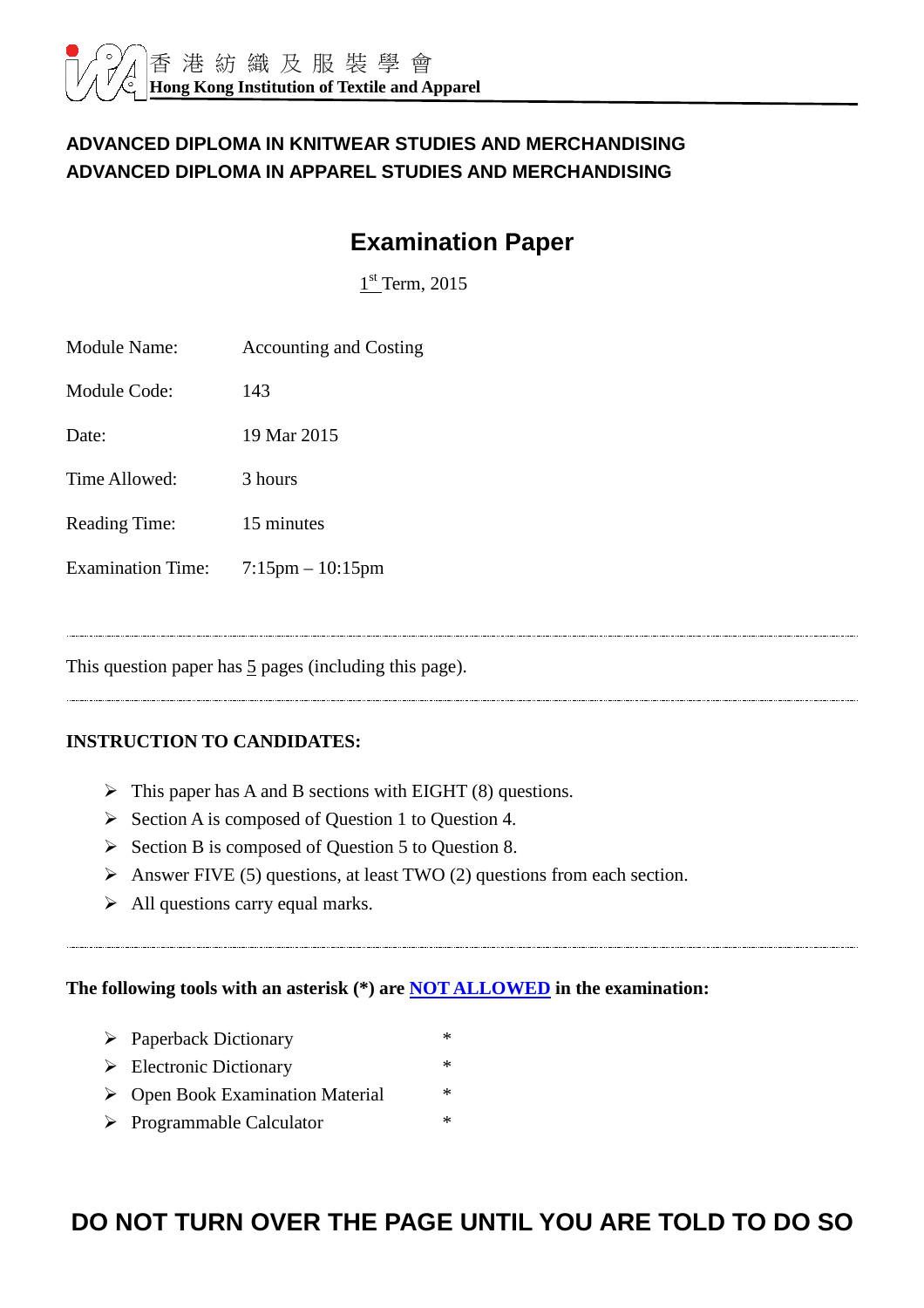#### **ADVANCED DIPLOMA IN KNITWEAR STUDIES AND MERCHANDISING ADVANCED DIPLOMA IN APPAREL STUDIES AND MERCHANDISING**

# **Examination Paper**

 $1<sup>st</sup>$  Term, 2015

| Module Name:             | <b>Accounting and Costing</b> |
|--------------------------|-------------------------------|
| Module Code:             | 143                           |
| Date:                    | 19 Mar 2015                   |
| Time Allowed:            | 3 hours                       |
| <b>Reading Time:</b>     | 15 minutes                    |
| <b>Examination Time:</b> | $7:15$ pm $-10:15$ pm         |
|                          |                               |

This question paper has  $\frac{5}{2}$  pages (including this page).

#### **INSTRUCTION TO CANDIDATES:**

- $\triangleright$  This paper has A and B sections with EIGHT (8) questions.
- $\triangleright$  Section A is composed of Question 1 to Question 4.
- $\triangleright$  Section B is composed of Question 5 to Question 8.
- Answer FIVE (5) questions, at least TWO (2) questions from each section.
- $\triangleright$  All questions carry equal marks.

#### **The following tools with an asterisk (\*) are NOT ALLOWED in the examination:**

- Paperback Dictionary \*
- $\triangleright$  Electronic Dictionary \*
- ▶ Open Book Examination Material \*
- $\triangleright$  Programmable Calculator \*

# **DO NOT TURN OVER THE PAGE UNTIL YOU ARE TOLD TO DO SO**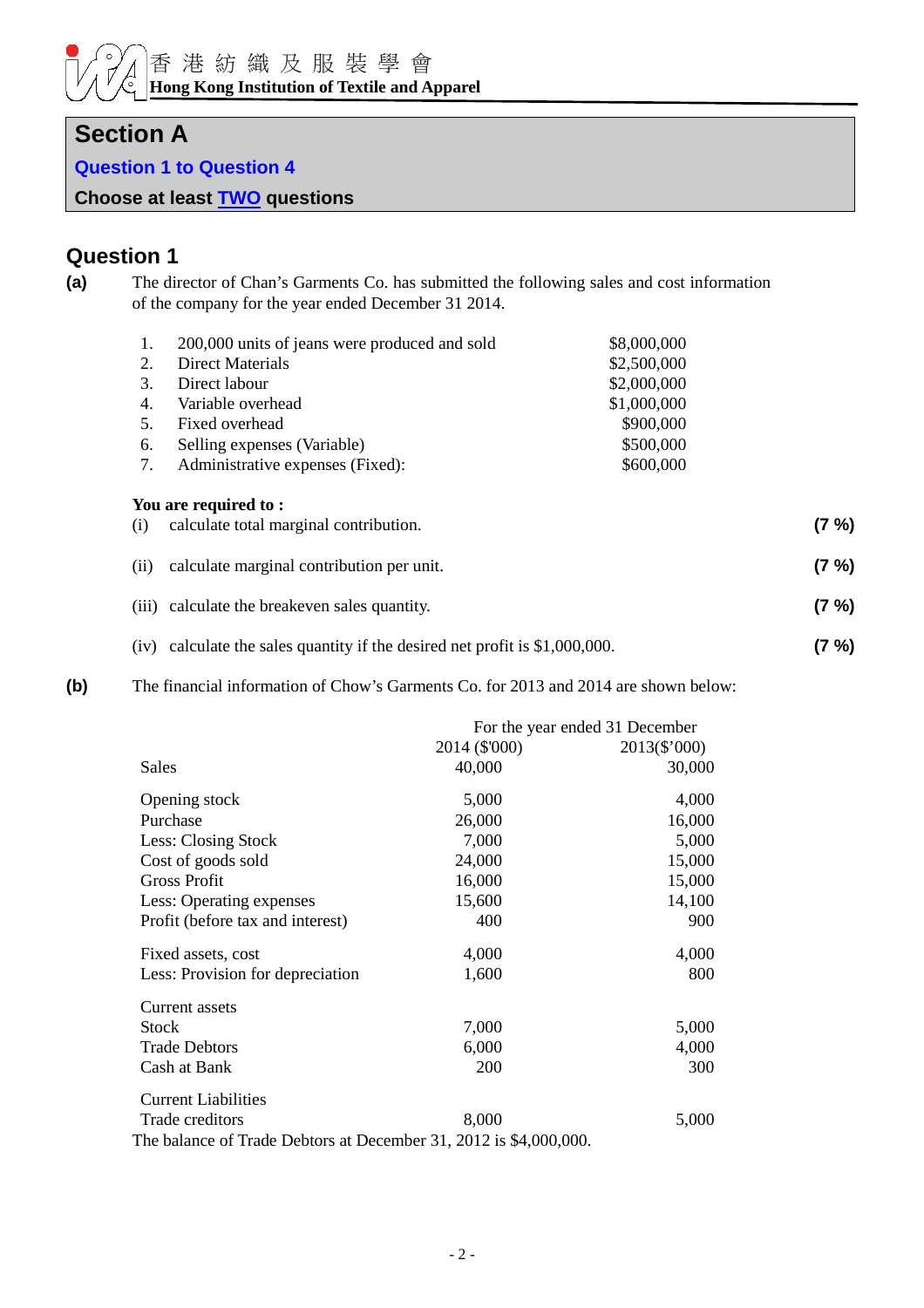## **Section A**

**Question 1 to Question 4** 

**Choose at least TWO questions**

## **Question 1**

**(a)** The director of Chan's Garments Co. has submitted the following sales and cost information of the company for the year ended December 31 2014.

| 1.   | 200,000 units of jeans were produced and sold | \$8,000,000 |          |
|------|-----------------------------------------------|-------------|----------|
| 2.   | Direct Materials                              | \$2,500,000 |          |
| 3.   | Direct labour                                 | \$2,000,000 |          |
| 4.   | Variable overhead                             | \$1,000,000 |          |
| 5.   | Fixed overhead                                | \$900,000   |          |
| 6.   | Selling expenses (Variable)                   | \$500,000   |          |
| 7.   | Administrative expenses (Fixed):              | \$600,000   |          |
|      | You are required to:                          |             |          |
| (i)  | calculate total marginal contribution.        |             | (7 %)    |
| (ii) | calculate marginal contribution per unit.     |             | $(7 \%)$ |
|      | (iii) calculate the breakeven sales quantity. |             | (7 %)    |

- (iv) calculate the sales quantity if the desired net profit is \$1,000,000. **(7 %)**
- **(b)** The financial information of Chow's Garments Co. for 2013 and 2014 are shown below:

|                                                                   |               | For the year ended 31 December |  |  |
|-------------------------------------------------------------------|---------------|--------------------------------|--|--|
|                                                                   | 2014 (\$'000) | 2013(\$'000)                   |  |  |
| Sales                                                             | 40,000        | 30,000                         |  |  |
| Opening stock                                                     | 5,000         | 4,000                          |  |  |
| Purchase                                                          | 26,000        | 16,000                         |  |  |
| Less: Closing Stock                                               | 7,000         | 5,000                          |  |  |
| Cost of goods sold                                                | 24,000        | 15,000                         |  |  |
| <b>Gross Profit</b>                                               | 16,000        | 15,000                         |  |  |
| Less: Operating expenses                                          | 15,600        | 14,100                         |  |  |
| Profit (before tax and interest)                                  | 400           | 900                            |  |  |
| Fixed assets, cost                                                | 4,000         | 4,000                          |  |  |
| Less: Provision for depreciation                                  | 1,600         | 800                            |  |  |
| Current assets                                                    |               |                                |  |  |
| <b>Stock</b>                                                      | 7,000         | 5,000                          |  |  |
| <b>Trade Debtors</b>                                              | 6,000         | 4,000                          |  |  |
| Cash at Bank                                                      | 200           | 300                            |  |  |
| <b>Current Liabilities</b>                                        |               |                                |  |  |
| Trade creditors                                                   | 8,000         | 5,000                          |  |  |
| The balance of Trade Debtors at December 31, 2012 is \$4,000,000. |               |                                |  |  |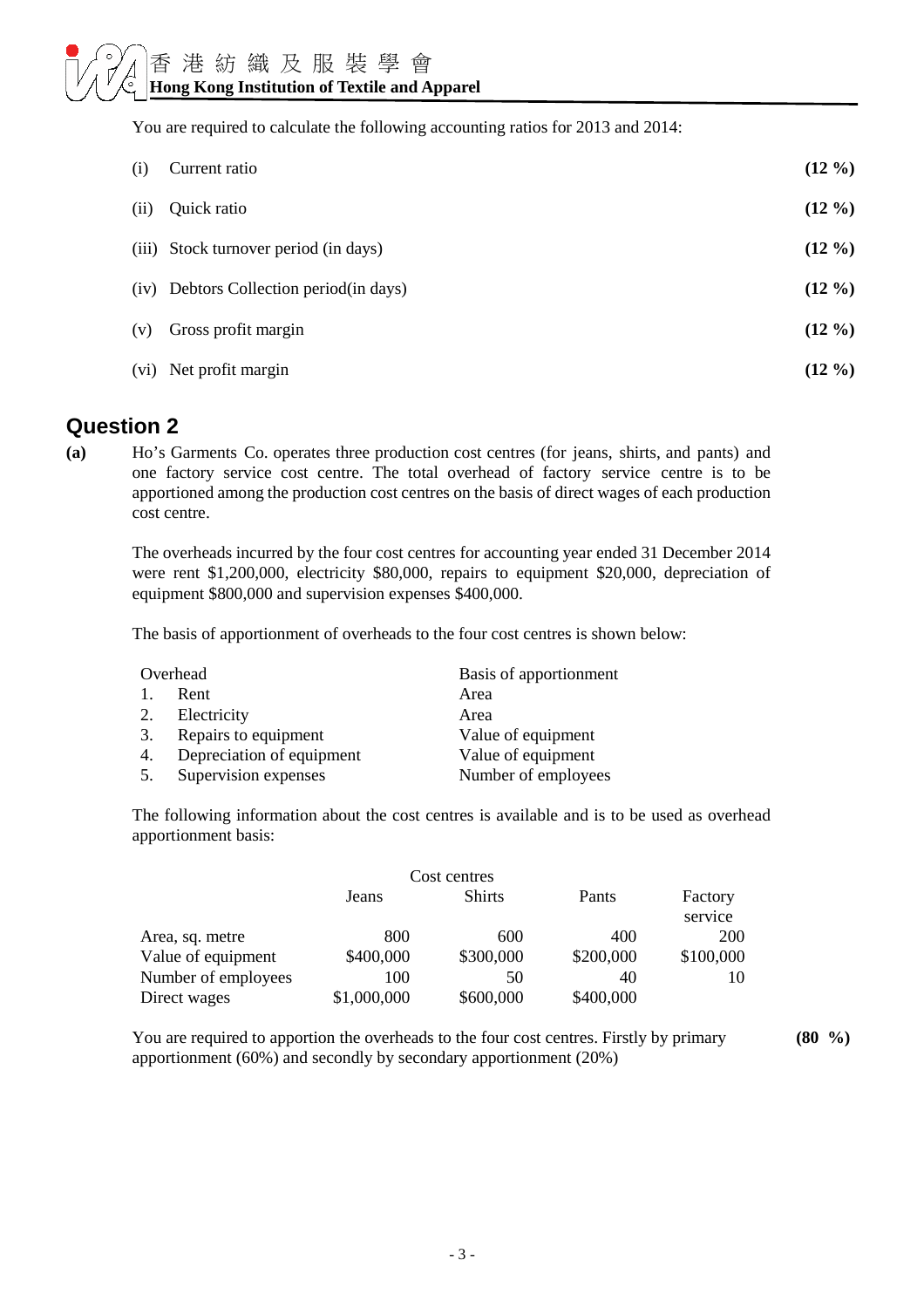You are required to calculate the following accounting ratios for 2013 and 2014:

| (i)  | Current ratio                           | $(12\%)$ |
|------|-----------------------------------------|----------|
| (ii) | Quick ratio                             | $(12\%)$ |
|      | (iii) Stock turnover period (in days)   | $(12\%)$ |
|      | (iv) Debtors Collection period(in days) | $(12\%)$ |
| (v)  | Gross profit margin                     | $(12\%)$ |
|      | (vi) Net profit margin                  | $(12\%)$ |

### **Question 2**

**(a)** Ho's Garments Co. operates three production cost centres (for jeans, shirts, and pants) and one factory service cost centre. The total overhead of factory service centre is to be apportioned among the production cost centres on the basis of direct wages of each production cost centre.

The overheads incurred by the four cost centres for accounting year ended 31 December 2014 were rent \$1,200,000, electricity \$80,000, repairs to equipment \$20,000, depreciation of equipment \$800,000 and supervision expenses \$400,000.

The basis of apportionment of overheads to the four cost centres is shown below:

|    | Overhead                  | Basis of apportionment |
|----|---------------------------|------------------------|
| 1. | Rent                      | Area                   |
| 2. | Electricity               | Area                   |
| 3. | Repairs to equipment      | Value of equipment     |
| 4. | Depreciation of equipment | Value of equipment     |
| 5. | Supervision expenses      | Number of employees    |

The following information about the cost centres is available and is to be used as overhead apportionment basis:

|                     |             | Cost centres  |           |            |
|---------------------|-------------|---------------|-----------|------------|
|                     | Jeans       | <b>Shirts</b> | Pants     | Factory    |
|                     |             |               |           | service    |
| Area, sq. metre     | 800         | 600           | 400       | <b>200</b> |
| Value of equipment  | \$400,000   | \$300,000     | \$200,000 | \$100,000  |
| Number of employees | 100         | 50            | 40        | 10         |
| Direct wages        | \$1,000,000 | \$600,000     | \$400,000 |            |

You are required to apportion the overheads to the four cost centres. Firstly by primary apportionment (60%) and secondly by secondary apportionment (20%)

**(80 %)**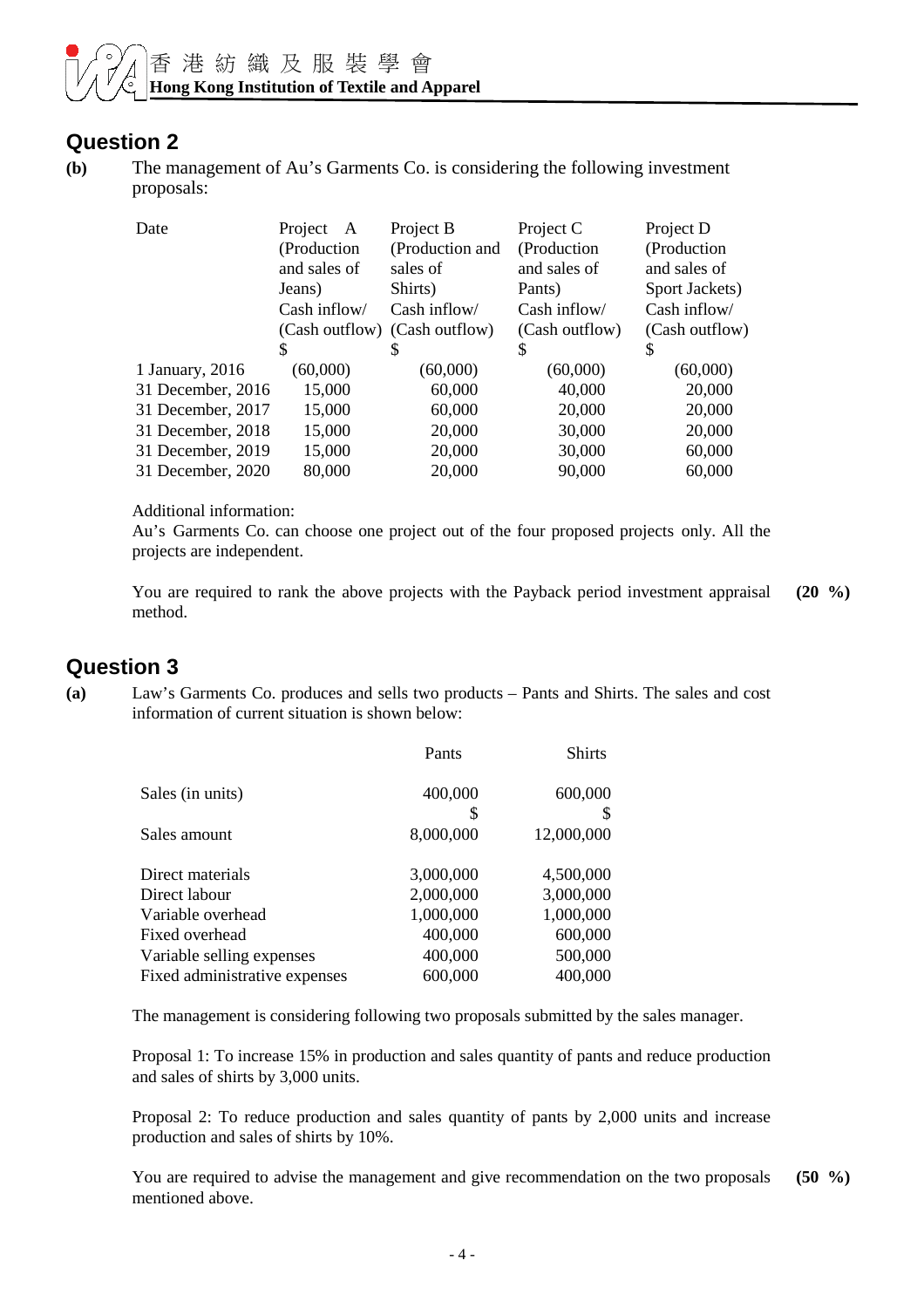#### **Question 2**

**(b)** The management of Au's Garments Co. is considering the following investment proposals:

| Date              | Project<br>A<br>(Production)<br>and sales of<br>Jeans)<br>Cash inflow/ | Project B<br>(Production and<br>sales of<br>Shirts)<br>Cash inflow/ | Project C<br>(Production<br>and sales of<br>Pants)<br>Cash inflow/ | Project D<br>(Production<br>and sales of<br>Sport Jackets)<br>Cash inflow/ |
|-------------------|------------------------------------------------------------------------|---------------------------------------------------------------------|--------------------------------------------------------------------|----------------------------------------------------------------------------|
|                   |                                                                        | (Cash outflow) (Cash outflow)                                       | (Cash outflow)                                                     | (Cash outflow)                                                             |
|                   | S                                                                      | S                                                                   | S                                                                  | S                                                                          |
| 1 January, 2016   | (60,000)                                                               | (60,000)                                                            | (60,000)                                                           | (60,000)                                                                   |
| 31 December, 2016 | 15,000                                                                 | 60,000                                                              | 40,000                                                             | 20,000                                                                     |
| 31 December, 2017 | 15,000                                                                 | 60,000                                                              | 20,000                                                             | 20,000                                                                     |
| 31 December, 2018 | 15,000                                                                 | 20,000                                                              | 30,000                                                             | 20,000                                                                     |
| 31 December, 2019 | 15,000                                                                 | 20,000                                                              | 30,000                                                             | 60,000                                                                     |
| 31 December, 2020 | 80,000                                                                 | 20,000                                                              | 90,000                                                             | 60,000                                                                     |

Additional information:

Au's Garments Co. can choose one project out of the four proposed projects only. All the projects are independent.

You are required to rank the above projects with the Payback period investment appraisal method. **(20 %)**

## **Question 3**

**(a)** Law's Garments Co. produces and sells two products – Pants and Shirts. The sales and cost information of current situation is shown below:

|                               | Pants     | <b>Shirts</b> |
|-------------------------------|-----------|---------------|
| Sales (in units)              | 400,000   | 600,000       |
|                               | S         |               |
| Sales amount                  | 8,000,000 | 12,000,000    |
| Direct materials              | 3,000,000 | 4,500,000     |
| Direct labour                 | 2,000,000 | 3,000,000     |
| Variable overhead             | 1,000,000 | 1,000,000     |
| Fixed overhead                | 400,000   | 600,000       |
| Variable selling expenses     | 400,000   | 500,000       |
| Fixed administrative expenses | 600,000   | 400,000       |

The management is considering following two proposals submitted by the sales manager.

 Proposal 1: To increase 15% in production and sales quantity of pants and reduce production and sales of shirts by 3,000 units.

 Proposal 2: To reduce production and sales quantity of pants by 2,000 units and increase production and sales of shirts by 10%.

 You are required to advise the management and give recommendation on the two proposals mentioned above. **(50 %)**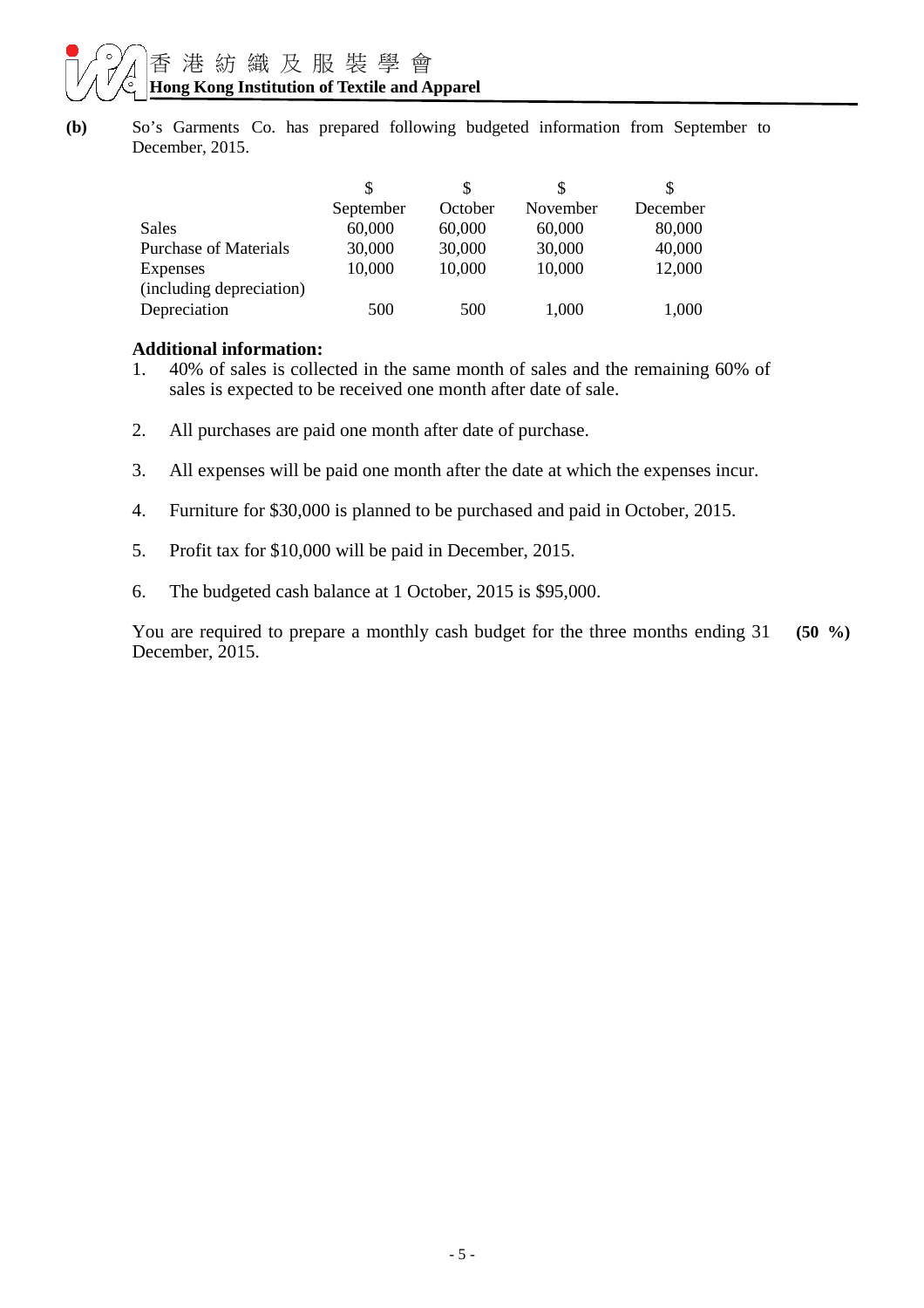**(b)** So's Garments Co. has prepared following budgeted information from September to December, 2015.

|                              | S         |         |          |          |
|------------------------------|-----------|---------|----------|----------|
|                              | September | October | November | December |
| Sales                        | 60,000    | 60,000  | 60,000   | 80,000   |
| <b>Purchase of Materials</b> | 30,000    | 30,000  | 30,000   | 40,000   |
| <b>Expenses</b>              | 10,000    | 10,000  | 10,000   | 12,000   |
| (including depreciation)     |           |         |          |          |
| Depreciation                 | 500       | 500     | 1,000    | 1,000    |

#### **Additional information:**

- 1. 40% of sales is collected in the same month of sales and the remaining 60% of sales is expected to be received one month after date of sale.
- 2. All purchases are paid one month after date of purchase.
- 3. All expenses will be paid one month after the date at which the expenses incur.
- 4. Furniture for \$30,000 is planned to be purchased and paid in October, 2015.
- 5. Profit tax for \$10,000 will be paid in December, 2015.
- 6. The budgeted cash balance at 1 October, 2015 is \$95,000.

You are required to prepare a monthly cash budget for the three months ending 31 December, 2015. **(50 %)**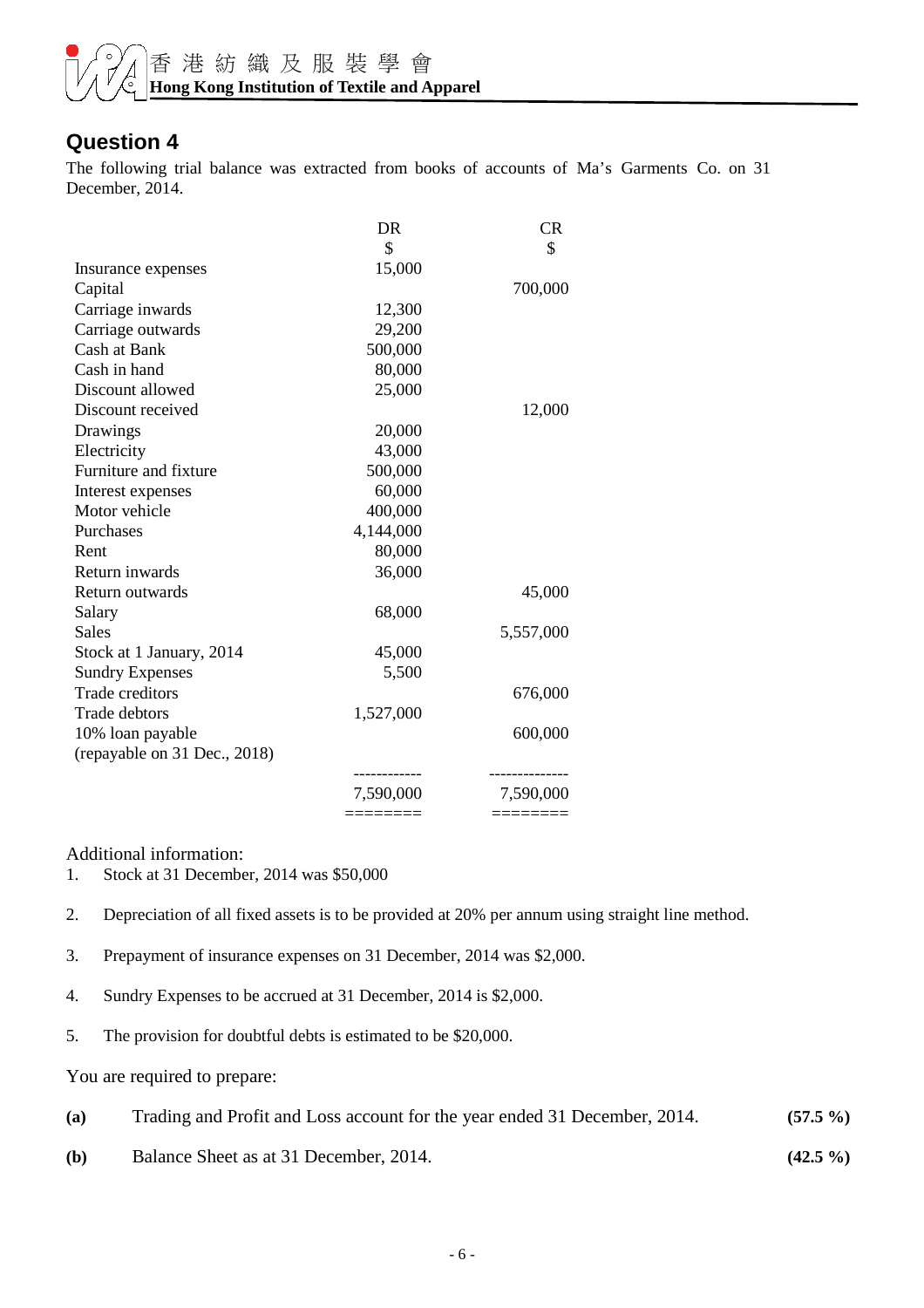

#### **Question 4**

The following trial balance was extracted from books of accounts of Ma's Garments Co. on 31 December, 2014.

|                              | DR        | <b>CR</b> |
|------------------------------|-----------|-----------|
|                              | \$        | \$        |
| Insurance expenses           | 15,000    |           |
| Capital                      |           | 700,000   |
| Carriage inwards             | 12,300    |           |
| Carriage outwards            | 29,200    |           |
| Cash at Bank                 | 500,000   |           |
| Cash in hand                 | 80,000    |           |
| Discount allowed             | 25,000    |           |
| Discount received            |           | 12,000    |
| Drawings                     | 20,000    |           |
| Electricity                  | 43,000    |           |
| Furniture and fixture        | 500,000   |           |
| Interest expenses            | 60,000    |           |
| Motor vehicle                | 400,000   |           |
| Purchases                    | 4,144,000 |           |
| Rent                         | 80,000    |           |
| Return inwards               | 36,000    |           |
| Return outwards              |           | 45,000    |
| Salary                       | 68,000    |           |
| Sales                        |           | 5,557,000 |
| Stock at 1 January, 2014     | 45,000    |           |
| <b>Sundry Expenses</b>       | 5,500     |           |
| <b>Trade creditors</b>       |           | 676,000   |
| Trade debtors                | 1,527,000 |           |
| 10% loan payable             |           | 600,000   |
| (repayable on 31 Dec., 2018) |           |           |
|                              |           |           |
|                              | 7,590,000 | 7,590,000 |
|                              |           |           |

Additional information:

1. Stock at 31 December, 2014 was \$50,000

2. Depreciation of all fixed assets is to be provided at 20% per annum using straight line method.

- 3. Prepayment of insurance expenses on 31 December, 2014 was \$2,000.
- 4. Sundry Expenses to be accrued at 31 December, 2014 is \$2,000.
- 5. The provision for doubtful debts is estimated to be \$20,000.

You are required to prepare:

- **(a)** Trading and Profit and Loss account for the year ended 31 December, 2014. **(57.5 %)**
- **(b)** Balance Sheet as at 31 December, 2014. **(42.5 %)**